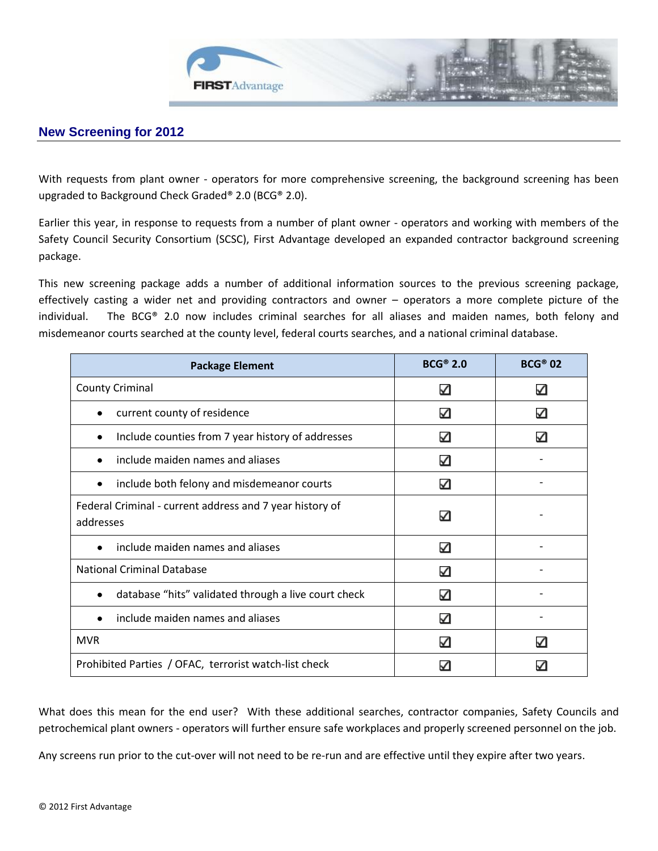

## **New Screening for 2012**

With requests from plant owner - operators for more comprehensive screening, the background screening has been upgraded to Background Check Graded® 2.0 (BCG® 2.0).

Earlier this year, in response to requests from a number of plant owner - operators and working with members of the Safety Council Security Consortium (SCSC), First Advantage developed an expanded contractor background screening package.

This new screening package adds a number of additional information sources to the previous screening package, effectively casting a wider net and providing contractors and owner – operators a more complete picture of the individual. The BCG® 2.0 now includes criminal searches for all aliases and maiden names, both felony and misdemeanor courts searched at the county level, federal courts searches, and a national criminal database.

| <b>Package Element</b>                                                | $BCG^{\circledast}$ 2.0 | <b>BCG® 02</b> |
|-----------------------------------------------------------------------|-------------------------|----------------|
| <b>County Criminal</b>                                                | ✓                       | ✓              |
| current county of residence                                           | ✓                       | ✓              |
| Include counties from 7 year history of addresses                     | ✓                       |                |
| include maiden names and aliases                                      | ✓                       |                |
| include both felony and misdemeanor courts                            | ✓                       |                |
| Federal Criminal - current address and 7 year history of<br>addresses | ✓                       |                |
| include maiden names and aliases                                      | ✓                       |                |
| <b>National Criminal Database</b>                                     | ✓                       |                |
| database "hits" validated through a live court check                  | ✓                       |                |
| include maiden names and aliases                                      | ✓                       |                |
| <b>MVR</b>                                                            | ✓                       | ✓              |
| Prohibited Parties / OFAC, terrorist watch-list check                 |                         |                |

What does this mean for the end user? With these additional searches, contractor companies, Safety Councils and petrochemical plant owners - operators will further ensure safe workplaces and properly screened personnel on the job.

Any screens run prior to the cut-over will not need to be re-run and are effective until they expire after two years.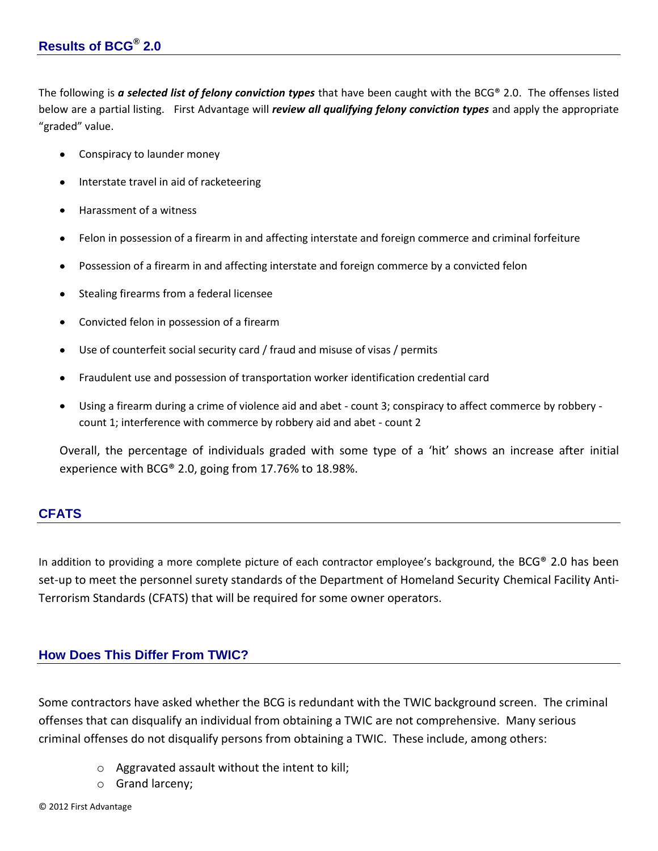The following is *a selected list of felony conviction types* that have been caught with the BCG® 2.0. The offenses listed below are a partial listing. First Advantage will *review all qualifying felony conviction types* and apply the appropriate "graded" value.

- Conspiracy to launder money
- Interstate travel in aid of racketeering
- Harassment of a witness
- Felon in possession of a firearm in and affecting interstate and foreign commerce and criminal forfeiture
- Possession of a firearm in and affecting interstate and foreign commerce by a convicted felon
- Stealing firearms from a federal licensee
- Convicted felon in possession of a firearm
- Use of counterfeit social security card / fraud and misuse of visas / permits
- Fraudulent use and possession of transportation worker identification credential card
- Using a firearm during a crime of violence aid and abet count 3; conspiracy to affect commerce by robbery count 1; interference with commerce by robbery aid and abet - count 2

Overall, the percentage of individuals graded with some type of a 'hit' shows an increase after initial experience with BCG® 2.0, going from 17.76% to 18.98%.

## **CFATS**

In addition to providing a more complete picture of each contractor employee's background, the BCG® 2.0 has been set-up to meet the personnel surety standards of the Department of Homeland Security Chemical Facility Anti-Terrorism Standards (CFATS) that will be required for some owner operators.

## **How Does This Differ From TWIC?**

Some contractors have asked whether the BCG is redundant with the TWIC background screen. The criminal offenses that can disqualify an individual from obtaining a TWIC are not comprehensive. Many serious criminal offenses do not disqualify persons from obtaining a TWIC. These include, among others:

- o Aggravated assault without the intent to kill;
- o Grand larceny;